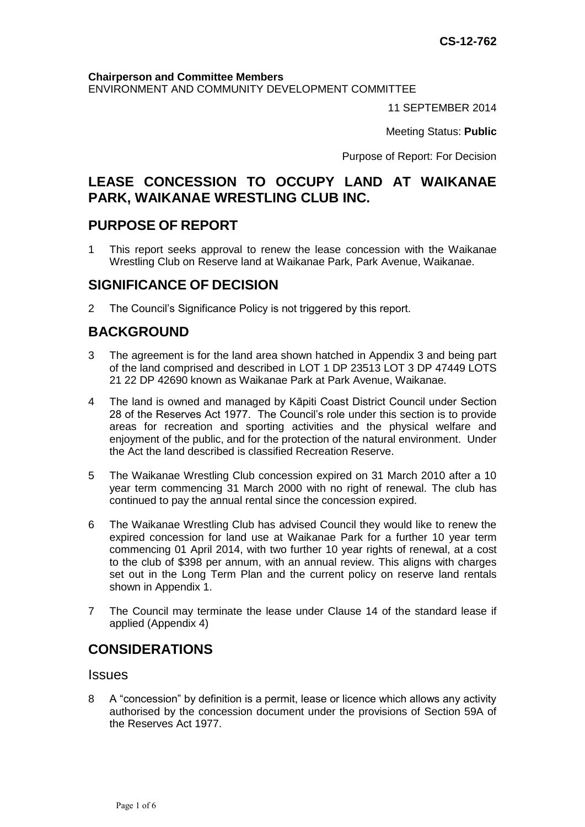#### **Chairperson and Committee Members**

ENVIRONMENT AND COMMUNITY DEVELOPMENT COMMITTEE

11 SEPTEMBER 2014

Meeting Status: **Public**

Purpose of Report: For Decision

## **LEASE CONCESSION TO OCCUPY LAND AT WAIKANAE PARK, WAIKANAE WRESTLING CLUB INC.**

### **PURPOSE OF REPORT**

1 This report seeks approval to renew the lease concession with the Waikanae Wrestling Club on Reserve land at Waikanae Park, Park Avenue, Waikanae.

### **SIGNIFICANCE OF DECISION**

2 The Council's Significance Policy is not triggered by this report.

## **BACKGROUND**

- 3 The agreement is for the land area shown hatched in Appendix 3 and being part of the land comprised and described in LOT 1 DP 23513 LOT 3 DP 47449 LOTS 21 22 DP 42690 known as Waikanae Park at Park Avenue, Waikanae.
- 4 The land is owned and managed by Kāpiti Coast District Council under Section 28 of the Reserves Act 1977. The Council's role under this section is to provide areas for recreation and sporting activities and the physical welfare and enjoyment of the public, and for the protection of the natural environment. Under the Act the land described is classified Recreation Reserve.
- 5 The Waikanae Wrestling Club concession expired on 31 March 2010 after a 10 year term commencing 31 March 2000 with no right of renewal. The club has continued to pay the annual rental since the concession expired.
- 6 The Waikanae Wrestling Club has advised Council they would like to renew the expired concession for land use at Waikanae Park for a further 10 year term commencing 01 April 2014, with two further 10 year rights of renewal, at a cost to the club of \$398 per annum, with an annual review. This aligns with charges set out in the Long Term Plan and the current policy on reserve land rentals shown in Appendix 1.
- 7 The Council may terminate the lease under Clause 14 of the standard lease if applied (Appendix 4)

### **CONSIDERATIONS**

#### **Issues**

8 A "concession" by definition is a permit, lease or licence which allows any activity authorised by the concession document under the provisions of Section 59A of the Reserves Act 1977.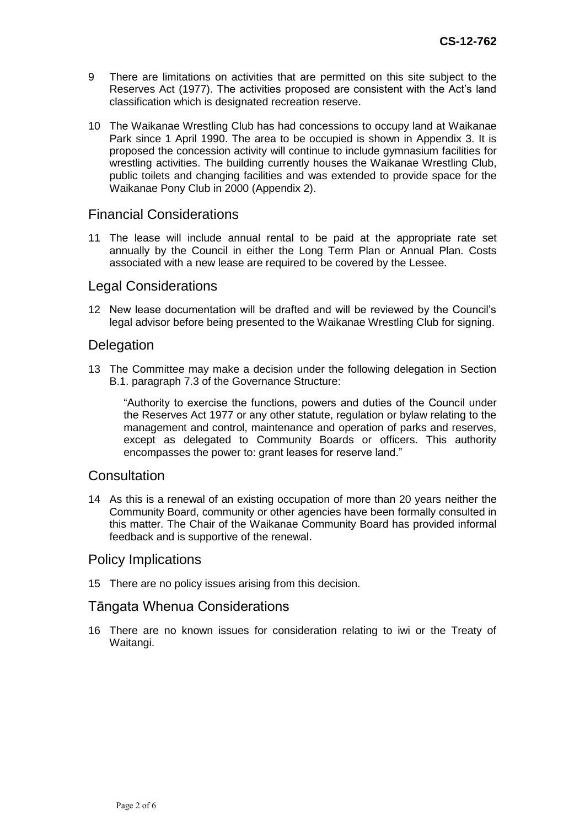- 9 There are limitations on activities that are permitted on this site subject to the Reserves Act (1977). The activities proposed are consistent with the Act's land classification which is designated recreation reserve.
- 10 The Waikanae Wrestling Club has had concessions to occupy land at Waikanae Park since 1 April 1990. The area to be occupied is shown in Appendix 3. It is proposed the concession activity will continue to include gymnasium facilities for wrestling activities. The building currently houses the Waikanae Wrestling Club, public toilets and changing facilities and was extended to provide space for the Waikanae Pony Club in 2000 (Appendix 2).

### Financial Considerations

11 The lease will include annual rental to be paid at the appropriate rate set annually by the Council in either the Long Term Plan or Annual Plan. Costs associated with a new lease are required to be covered by the Lessee.

#### Legal Considerations

12 New lease documentation will be drafted and will be reviewed by the Council's legal advisor before being presented to the Waikanae Wrestling Club for signing.

#### **Delegation**

13 The Committee may make a decision under the following delegation in Section B.1. paragraph 7.3 of the Governance Structure:

"Authority to exercise the functions, powers and duties of the Council under the Reserves Act 1977 or any other statute, regulation or bylaw relating to the management and control, maintenance and operation of parks and reserves, except as delegated to Community Boards or officers. This authority encompasses the power to: grant leases for reserve land."

#### **Consultation**

14 As this is a renewal of an existing occupation of more than 20 years neither the Community Board, community or other agencies have been formally consulted in this matter. The Chair of the Waikanae Community Board has provided informal feedback and is supportive of the renewal.

#### Policy Implications

15 There are no policy issues arising from this decision.

#### Tāngata Whenua Considerations

16 There are no known issues for consideration relating to iwi or the Treaty of Waitangi.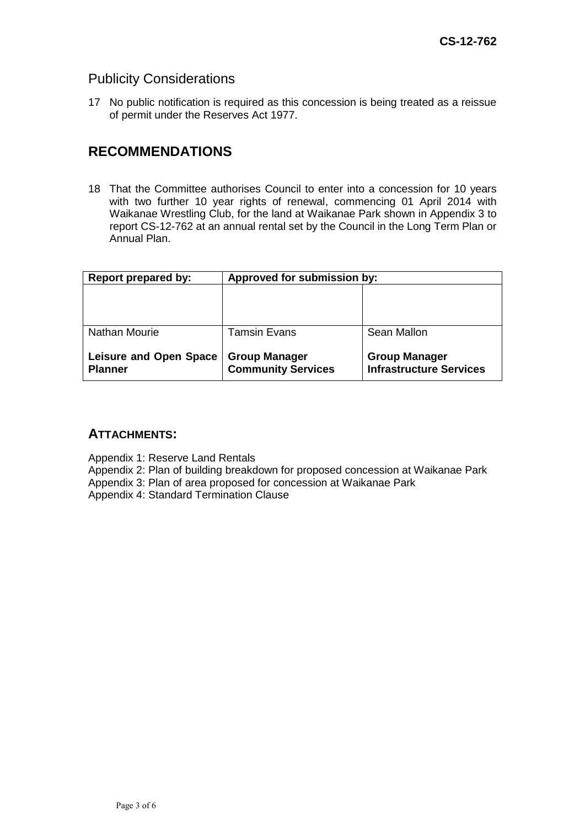### Publicity Considerations

17 No public notification is required as this concession is being treated as a reissue of permit under the Reserves Act 1977.

## **RECOMMENDATIONS**

18 That the Committee authorises Council to enter into a concession for 10 years with two further 10 year rights of renewal, commencing 01 April 2014 with Waikanae Wrestling Club, for the land at Waikanae Park shown in Appendix 3 to report CS-12-762 at an annual rental set by the Council in the Long Term Plan or Annual Plan.

| <b>Report prepared by:</b>                      | Approved for submission by:                       |                                                        |
|-------------------------------------------------|---------------------------------------------------|--------------------------------------------------------|
|                                                 |                                                   |                                                        |
| <b>Nathan Mourie</b>                            | <b>Tamsin Evans</b>                               | Sean Mallon                                            |
| <b>Leisure and Open Space</b><br><b>Planner</b> | <b>Group Manager</b><br><b>Community Services</b> | <b>Group Manager</b><br><b>Infrastructure Services</b> |

### **ATTACHMENTS:**

Appendix 1: Reserve Land Rentals

Appendix 2: Plan of building breakdown for proposed concession at Waikanae Park

Appendix 3: Plan of area proposed for concession at Waikanae Park

Appendix 4: Standard Termination Clause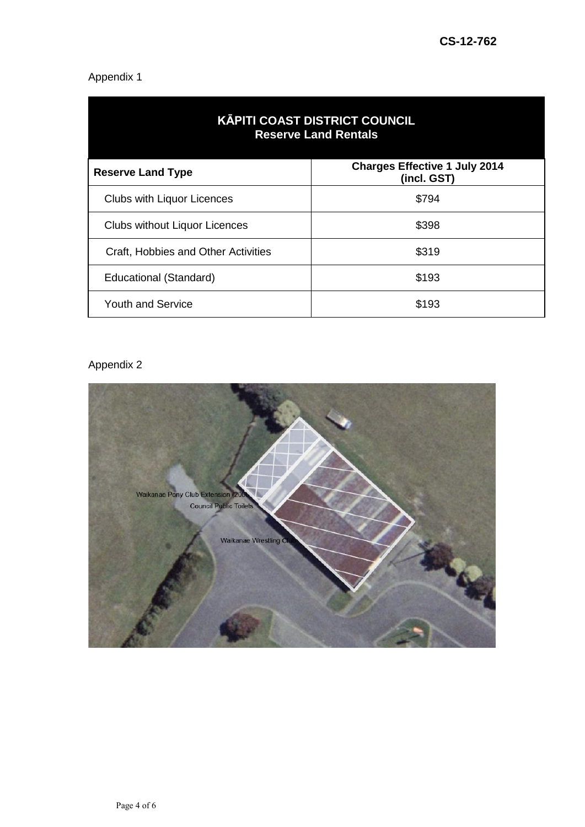# Appendix 1

| <b>KĀPITI COAST DISTRICT COUNCIL</b><br><b>Reserve Land Rentals</b> |                                                     |  |  |
|---------------------------------------------------------------------|-----------------------------------------------------|--|--|
| <b>Reserve Land Type</b>                                            | <b>Charges Effective 1 July 2014</b><br>(incl. GST) |  |  |
| <b>Clubs with Liquor Licences</b>                                   | \$794                                               |  |  |
| <b>Clubs without Liquor Licences</b>                                | \$398                                               |  |  |
| Craft, Hobbies and Other Activities                                 | \$319                                               |  |  |
| Educational (Standard)                                              | \$193                                               |  |  |
| <b>Youth and Service</b>                                            | \$193                                               |  |  |

# Appendix 2

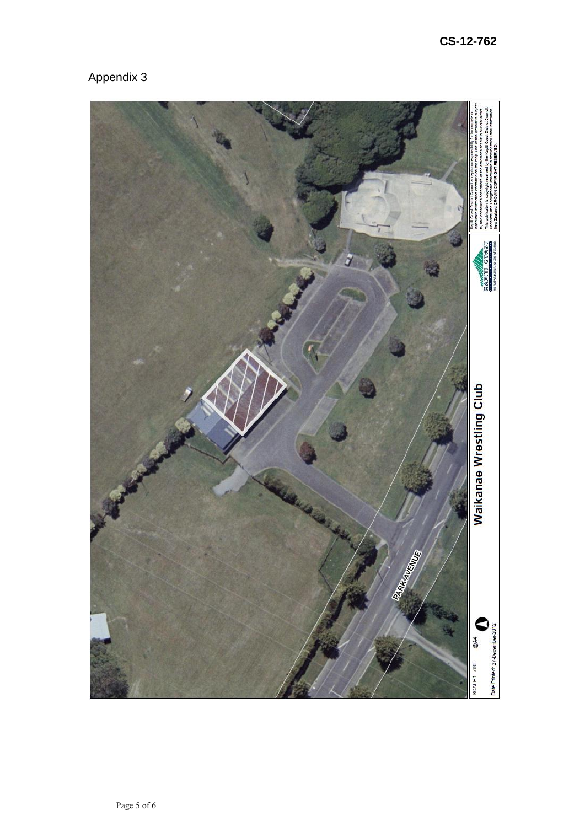